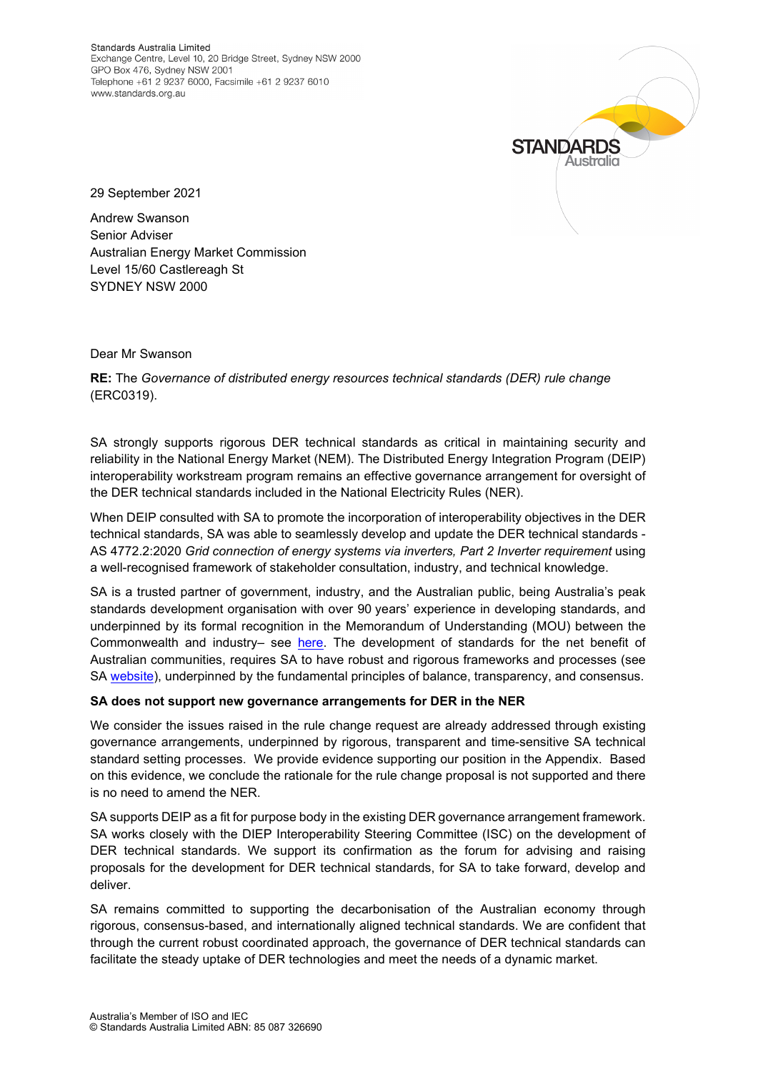Standards Australia Limited Exchange Centre, Level 10, 20 Bridge Street, Sydney NSW 2000 GPO Box 476, Sydney NSW 2001 Telephone +61 2 9237 6000, Facsimile +61 2 9237 6010 www.standards.org.au



29 September 2021

Andrew Swanson Senior Adviser Australian Energy Market Commission Level 15/60 Castlereagh St SYDNEY NSW 2000

Dear Mr Swanson

**RE:** The *Governance of distributed energy resources technical standards (DER) rule change* (ERC0319).

SA strongly supports rigorous DER technical standards as critical in maintaining security and reliability in the National Energy Market (NEM). The Distributed Energy Integration Program (DEIP) interoperability workstream program remains an effective governance arrangement for oversight of the DER technical standards included in the National Electricity Rules (NER).

When DEIP consulted with SA to promote the incorporation of interoperability objectives in the DER technical standards, SA was able to seamlessly develop and update the DER technical standards - AS 4772.2:2020 *Grid connection of energy systems via inverters, Part 2 Inverter requirement* using a well-recognised framework of stakeholder consultation, industry, and technical knowledge.

SA is a trusted partner of government, industry, and the Australian public, being Australia's peak standards development organisation with over 90 years' experience in developing standards, and underpinned by its formal recognition in the Memorandum of Understanding (MOU) between the Commonwealth and industry– see [here.](https://www.pc.gov.au/inquiries/completed/standards/mou/sai1.pdf) The development of standards for the net benefit of Australian communities, requires SA to have robust and rigorous frameworks and processes (see SA [website\)](https://www.standards.org.au/standards-development/developing-standards?utm_medium=referral&utm_source=standards.org.au&utm_campaign=sa-hp-developing-standards-find-out-more), underpinned by the fundamental principles of balance, transparency, and consensus.

## **SA does not support new governance arrangements for DER in the NER**

We consider the issues raised in the rule change request are already addressed through existing governance arrangements, underpinned by rigorous, transparent and time-sensitive SA technical standard setting processes. We provide evidence supporting our position in the Appendix. Based on this evidence, we conclude the rationale for the rule change proposal is not supported and there is no need to amend the NER.

SA supports DEIP as a fit for purpose body in the existing DER governance arrangement framework. SA works closely with the DIEP Interoperability Steering Committee (ISC) on the development of DER technical standards. We support its confirmation as the forum for advising and raising proposals for the development for DER technical standards, for SA to take forward, develop and deliver.

SA remains committed to supporting the decarbonisation of the Australian economy through rigorous, consensus-based, and internationally aligned technical standards. We are confident that through the current robust coordinated approach, the governance of DER technical standards can facilitate the steady uptake of DER technologies and meet the needs of a dynamic market.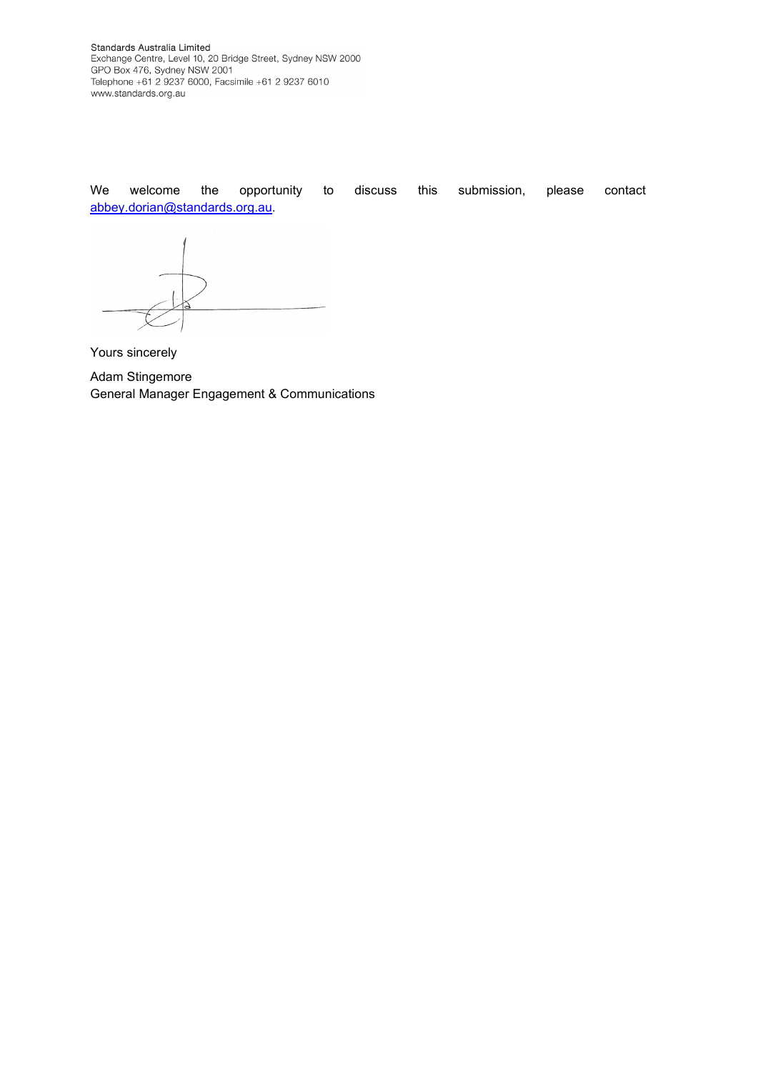Standards Australia Limited<br>Exchange Centre, Level 10, 20 Bridge Street, Sydney NSW 2000<br>GPO Box 476, Sydney NSW 2001<br>Telephone +61 2 9237 6000, Facsimile +61 2 9237 6010 www.standards.org.au

We welcome the opportunity to discuss this submission, please contact [abbey.dorian@standards.org.au.](mailto:abbey.dorian@standards.org.au)

Yours sincerely

Adam Stingemore General Manager Engagement & Communications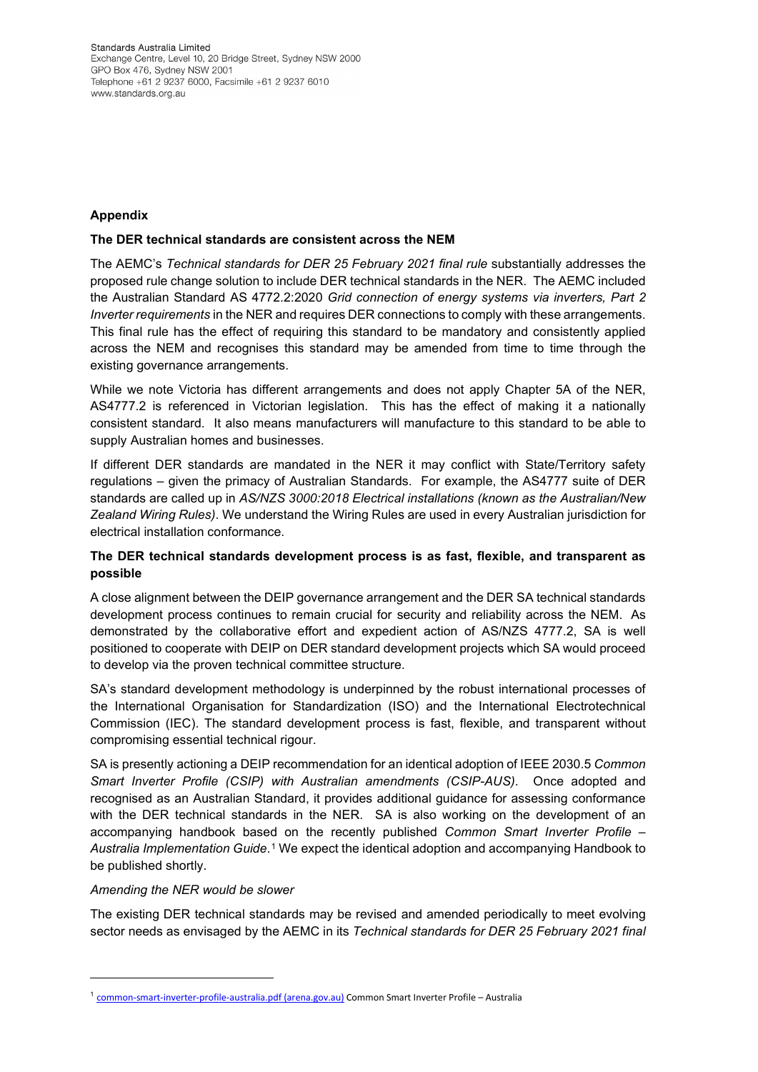Standards Australia Limited Exchange Centre, Level 10, 20 Bridge Street, Sydney NSW 2000 GPO Box 476, Sydney NSW 2001 Telephone +61 2 9237 6000, Facsimile +61 2 9237 6010 www.standards.org.au

# **Appendix**

### **The DER technical standards are consistent across the NEM**

The AEMC's *Technical standards for DER 25 February 2021 final rule* substantially addresses the proposed rule change solution to include DER technical standards in the NER. The AEMC included the Australian Standard AS 4772.2:2020 *Grid connection of energy systems via inverters, Part 2 Inverter requirements* in the NER and requires DER connections to comply with these arrangements. This final rule has the effect of requiring this standard to be mandatory and consistently applied across the NEM and recognises this standard may be amended from time to time through the existing governance arrangements.

While we note Victoria has different arrangements and does not apply Chapter 5A of the NER, AS4777.2 is referenced in Victorian legislation. This has the effect of making it a nationally consistent standard. It also means manufacturers will manufacture to this standard to be able to supply Australian homes and businesses.

If different DER standards are mandated in the NER it may conflict with State/Territory safety regulations – given the primacy of Australian Standards. For example, the AS4777 suite of DER standards are called up in *AS/NZS 3000:2018 Electrical installations (known as the Australian/New Zealand Wiring Rules)*. We understand the Wiring Rules are used in every Australian jurisdiction for electrical installation conformance.

# **The DER technical standards development process is as fast, flexible, and transparent as possible**

A close alignment between the DEIP governance arrangement and the DER SA technical standards development process continues to remain crucial for security and reliability across the NEM. As demonstrated by the collaborative effort and expedient action of AS/NZS 4777.2, SA is well positioned to cooperate with DEIP on DER standard development projects which SA would proceed to develop via the proven technical committee structure.

SA's standard development methodology is underpinned by the robust international processes of the International Organisation for Standardization (ISO) and the International Electrotechnical Commission (IEC). The standard development process is fast, flexible, and transparent without compromising essential technical rigour.

SA is presently actioning a DEIP recommendation for an identical adoption of IEEE 2030.5 *Common Smart Inverter Profile (CSIP) with Australian amendments (CSIP-AUS)*. Once adopted and recognised as an Australian Standard, it provides additional guidance for assessing conformance with the DER technical standards in the NER. SA is also working on the development of an accompanying handbook based on the recently published *Common Smart Inverter Profile – Australia Implementation Guide*.[1](#page-2-0) We expect the identical adoption and accompanying Handbook to be published shortly.

#### *Amending the NER would be slower*

The existing DER technical standards may be revised and amended periodically to meet evolving sector needs as envisaged by the AEMC in its *Technical standards for DER 25 February 2021 final* 

<span id="page-2-0"></span><sup>&</sup>lt;sup>1</sup> [common-smart-inverter-profile-australia.pdf \(arena.gov.au\)](https://arena.gov.au/assets/2021/09/common-smart-inverter-profile-australia.pdf) Common Smart Inverter Profile – Australia